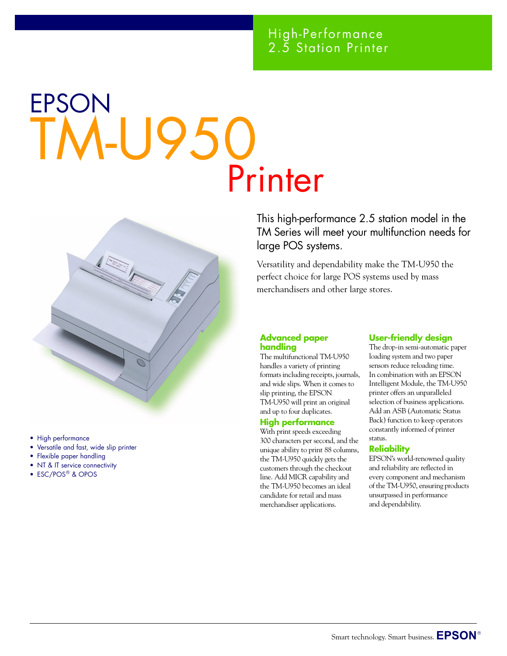### High-Performance 2.5 Station Printer

# EPSON TM-U950 Printer



- High performance
- Versatile and fast, wide slip printer
- Flexible paper handling
- NT & IT service connectivity
- ESC/POS<sup>®</sup> & OPOS

This high-performance 2.5 station model in the TM Series will meet your multifunction needs for large POS systems.

Versatility and dependability make the TM-U950 the perfect choice for large POS systems used by mass merchandisers and other large stores.

#### **Advanced paper handling**

The multifunctional TM-U950 handles a variety of printing formats including receipts, journals, and wide slips. When it comes to slip printing, the EPSON TM-U950 will print an original and up to four duplicates.

#### **High performance**

With print speeds exceeding 300 characters per second, and the unique ability to print 88 columns, the TM-U950 quickly gets the customers through the checkout line. Add MICR capability and the TM-U950 becomes an ideal candidate for retail and mass merchandiser applications.

### **User-friendly design**

The drop-in semi-automatic paper loading system and two paper sensors reduce reloading time. In combination with an EPSON Intelligent Module, the TM-U950 printer offers an unparalleled selection of business applications. Add an ASB (Automatic Status Back) function to keep operators constantly informed of printer status.

#### **Reliability**

EPSON's world-renowned quality and reliability are reflected in every component and mechanism of the TM-U950, ensuring products unsurpassed in performance and dependability.